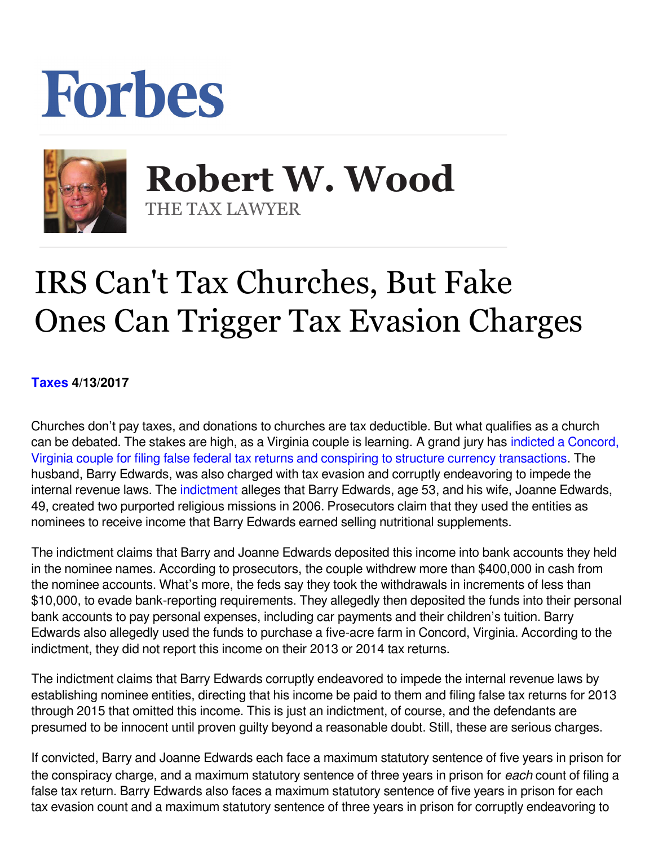## Forbes



 **Robert W. Wood** THE TAX LAWYER

## IRS Can't Tax Churches, But Fake Ones Can Trigger Tax Evasion Charges

**[Taxes](https://www.forbes.com/taxes) 4/13/2017** 

Churches don't pay taxes, and donations to churches are tax deductible. But what qualifies as a church can be debated. The stakes are high, as a Virginia couple is learning. A grand jury has [indicted a Concord,](https://www.justice.gov/opa/pr/virginia-couple-indicted-tax-crimes-and-structuring-more-400000) [Virginia couple for filing false federal tax returns and conspiring to structure currency transactions](https://www.justice.gov/opa/pr/virginia-couple-indicted-tax-crimes-and-structuring-more-400000). The husband, Barry Edwards, was also charged with tax evasion and corruptly endeavoring to impede the internalrevenue laws. The indictment alleges that Barry Edwards, age 53, and his wife, Joanne Edwards, 49, created two purported religious missions in 2006. Prosecutors claim that they used the entities as nominees to receive income that Barry Edwards earned selling nutritional supplements.

The indictment claims that Barry and Joanne Edwards deposited this income into bank accounts they held in the nominee names. According to prosecutors, the couple withdrew more than \$400,000 in cash from the nominee accounts. What's more, the feds say they took the withdrawals in increments of less than \$10,000, to evade bank-reporting requirements. They allegedly then deposited the funds into their personal bank accounts to pay personal expenses, including car payments and their children's tuition. Barry Edwards also allegedly used the funds to purchase a five-acre farm in Concord, Virginia. According to the indictment, they did not report this income on their 2013 or 2014 tax returns.

The indictment claims that Barry Edwards corruptly endeavored to impede the internal revenue laws by establishing nominee entities, directing that his income be paid to them and filing false tax returns for 2013 through 2015 that omitted this income. This is just an indictment, of course, and the defendants are presumed to be innocent until proven guilty beyond a reasonable doubt. Still, these are serious charges.

If convicted, Barry and Joanne Edwards each face a maximum statutory sentence of five years in prison for the conspiracy charge, and a maximum statutory sentence of three years in prison for *each* count of filing a false tax return. Barry Edwards also faces a maximum statutory sentence of five years in prison for each tax evasion count and a maximum statutory sentence of three years in prison for corruptly endeavoring to